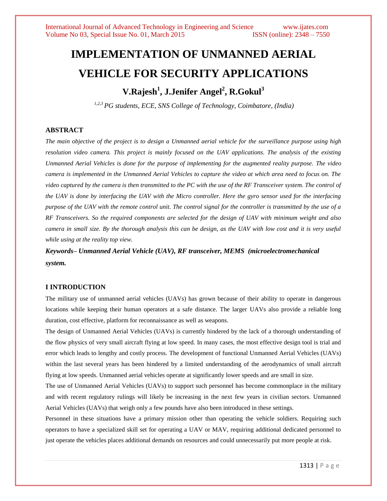# **IMPLEMENTATION OF UNMANNED AERIAL VEHICLE FOR SECURITY APPLICATIONS**

# **V.Rajesh<sup>1</sup> , J.Jenifer Angel<sup>2</sup> , R.Gokul<sup>3</sup>**

*1,2,3 PG students, ECE, SNS College of Technology, Coimbatore, (India)*

# **ABSTRACT**

*The main objective of the project is to design a Unmanned aerial vehicle for the surveillance purpose using high resolution video camera. This project is mainly focused on the UAV applications. The analysis of the existing Unmanned Aerial Vehicles is done for the purpose of implementing for the augmented reality purpose. The video camera is implemented in the Unmanned Aerial Vehicles to capture the video at which area need to focus on. The video captured by the camera is then transmitted to the PC with the use of the RF Transceiver system. The control of the UAV is done by interfacing the UAV with the Micro controller. Here the gyro sensor used for the interfacing purpose of the UAV with the remote control unit. The control signal for the controller is transmitted by the use of a RF Transceivers. So the required components are selected for the design of UAV with minimum weight and also camera in small size. By the thorough analysis this can be design, as the UAV with low cost and it is very useful while using at the reality top view.*

*Keywords– Unmanned Aerial Vehicle (UAV), RF transceiver, MEMS (microelectromechanical system.*

#### **I INTRODUCTION**

The military use of unmanned aerial vehicles (UAVs) has grown because of their ability to operate in dangerous locations while keeping their human operators at a safe distance. The larger UAVs also provide a reliable long duration, cost effective, platform for reconnaissance as well as weapons.

The design of Unmanned Aerial Vehicles (UAVs) is currently hindered by the lack of a thorough understanding of the flow physics of very small aircraft flying at low speed. In many cases, the most effective design tool is trial and error which leads to lengthy and costly process. The development of functional Unmanned Aerial Vehicles (UAVs) within the last several years has been hindered by a limited understanding of the aerodynamics of small aircraft flying at low speeds. Unmanned aerial vehicles operate at significantly lower speeds and are small in size.

The use of Unmanned Aerial Vehicles (UAVs) to support such personnel has become commonplace in the military and with recent regulatory rulings will likely be increasing in the next few years in civilian sectors. Unmanned Aerial Vehicles (UAVs) that weigh only a few pounds have also been introduced in these settings.

Personnel in these situations have a primary mission other than operating the vehicle soldiers. Requiring such operators to have a specialized skill set for operating a UAV or MAV, requiring additional dedicated personnel to just operate the vehicles places additional demands on resources and could unnecessarily put more people at risk.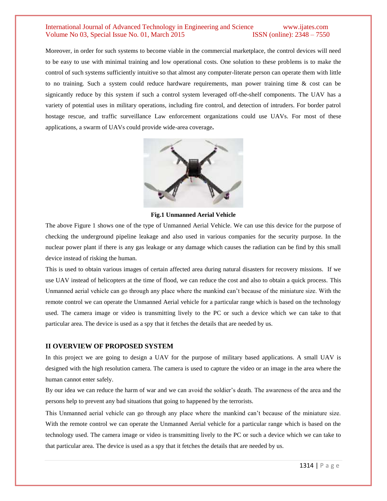Moreover, in order for such systems to become viable in the commercial marketplace, the control devices will need to be easy to use with minimal training and low operational costs. One solution to these problems is to make the control of such systems sufficiently intuitive so that almost any computer-literate person can operate them with little to no training. Such a system could reduce hardware requirements, man power training time & cost can be signicantly reduce by this system if such a control system leveraged off-the-shelf components. The UAV has a variety of potential uses in military operations, including fire control, and detection of intruders. For border patrol hostage rescue, and traffic surveillance Law enforcement organizations could use UAVs. For most of these applications, a swarm of UAVs could provide wide-area coverage**.**



**Fig.1 Unmanned Aerial Vehicle**

The above Figure 1 shows one of the type of Unmanned Aerial Vehicle. We can use this device for the purpose of checking the underground pipeline leakage and also used in various companies for the security purpose. In the nuclear power plant if there is any gas leakage or any damage which causes the radiation can be find by this small device instead of risking the human.

This is used to obtain various images of certain affected area during natural disasters for recovery missions. If we use UAV instead of helicopters at the time of flood, we can reduce the cost and also to obtain a quick process. This Unmanned aerial vehicle can go through any place where the mankind can't because of the miniature size. With the remote control we can operate the Unmanned Aerial vehicle for a particular range which is based on the technology used. The camera image or video is transmitting lively to the PC or such a device which we can take to that particular area. The device is used as a spy that it fetches the details that are needed by us.

#### **II OVERVIEW OF PROPOSED SYSTEM**

In this project we are going to design a UAV for the purpose of military based applications. A small UAV is designed with the high resolution camera. The camera is used to capture the video or an image in the area where the human cannot enter safely.

By our idea we can reduce the harm of war and we can avoid the soldier's death. The awareness of the area and the persons help to prevent any bad situations that going to happened by the terrorists.

This Unmanned aerial vehicle can go through any place where the mankind can't because of the miniature size. With the remote control we can operate the Unmanned Aerial vehicle for a particular range which is based on the technology used. The camera image or video is transmitting lively to the PC or such a device which we can take to that particular area. The device is used as a spy that it fetches the details that are needed by us.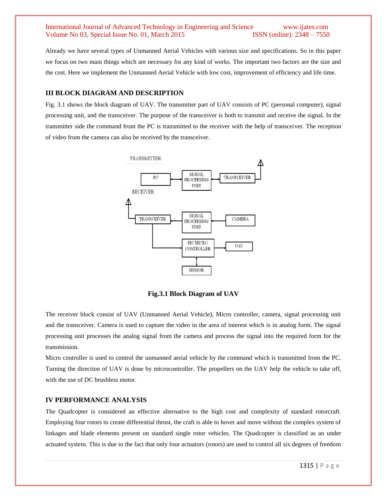Already we have several types of Unmanned Aerial Vehicles with various size and specifications. So in this paper we focus on two main things which are necessary for any kind of works. The important two factors are the size and the cost. Here we implement the Unmanned Aerial Vehicle with low cost, improvement of efficiency and life time.

#### **III BLOCK DIAGRAM AND DESCRIPTION**

Fig. 3.1 shows the block diagram of UAV. The transmitter part of UAV consists of PC (personal computer), signal processing unit, and the transceiver. The purpose of the transceiver is both to transmit and receive the signal. In the transmitter side the command from the PC is transmitted to the receiver with the help of transceiver. The reception of video from the camera can also be received by the transceiver.



**Fig.3.1 Block Diagram of UAV**

The receiver block consist of UAV (Unmanned Aerial Vehicle), Micro controller, camera, signal processing unit and the transceiver. Camera is used to capture the video in the area of interest which is in analog form. The signal processing unit processes the analog signal from the camera and process the signal into the required form for the transmission.

Micro controller is used to control the unmanned aerial vehicle by the command which is transmitted from the PC. Turning the direction of UAV is done by microcontroller. The propellers on the UAV help the vehicle to take off, with the use of DC brushless motor.

# **IV PERFORMANCE ANALYSIS**

The Quadcopter is considered an effective alternative to the high cost and complexity of standard rotorcraft. Employing four rotors to create differential thrust, the craft is able to hover and move without the complex system of linkages and blade elements present on standard single rotor vehicles. The Quadcopter is classified as an under actuated system. This is due to the fact that only four actuators (rotors) are used to control all six degrees of freedom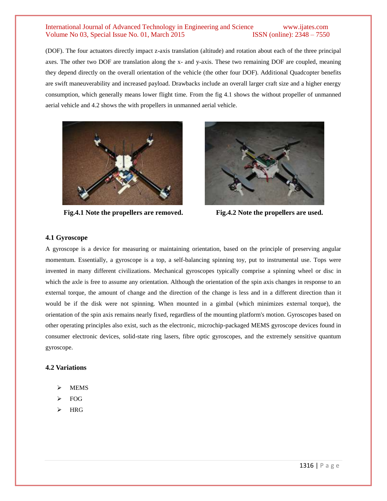(DOF). The four actuators directly impact z-axis translation (altitude) and rotation about each of the three principal axes. The other two DOF are translation along the x- and y-axis. These two remaining DOF are coupled, meaning they depend directly on the overall orientation of the vehicle (the other four DOF). Additional Quadcopter benefits are swift maneuverability and increased payload. Drawbacks include an overall larger craft size and a higher energy consumption, which generally means lower flight time. From the fig 4.1 shows the without propeller of unmanned aerial vehicle and 4.2 shows the with propellers in unmanned aerial vehicle.



**Fig.4.1 Note the propellers are removed. Fig.4.2 Note the propellers are used.**



# **4.1 Gyroscope**

A gyroscope is a device for measuring or maintaining orientation, based on the principle of preserving angular momentum. Essentially, a gyroscope is a top, a self-balancing spinning toy, put to instrumental use. Tops were invented in many different civilizations. Mechanical gyroscopes typically comprise a spinning wheel or disc in which the axle is free to assume any orientation. Although the orientation of the spin axis changes in response to an external torque, the amount of change and the direction of the change is less and in a different direction than it would be if the disk were not spinning. When mounted in a gimbal (which minimizes external torque), the orientation of the spin axis remains nearly fixed, regardless of the mounting platform's motion. Gyroscopes based on other operating principles also exist, such as the electronic, microchip-packaged MEMS gyroscope devices found in consumer electronic devices, solid-state ring lasers, fibre optic gyroscopes, and the extremely sensitive quantum gyroscope.

#### **4.2 Variations**

- MEMS
- FOG
- HRG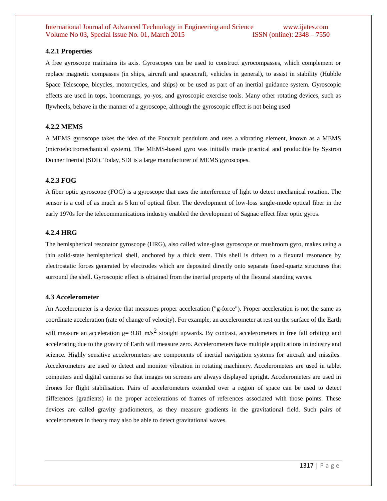#### **4.2.1 Properties**

A free gyroscope maintains its axis. Gyroscopes can be used to construct gyrocompasses, which complement or replace magnetic compasses (in ships, aircraft and spacecraft, vehicles in general), to assist in stability (Hubble Space Telescope, bicycles, motorcycles, and ships) or be used as part of an inertial guidance system. Gyroscopic effects are used in tops, boomerangs, yo-yos, and gyroscopic exercise tools. Many other rotating devices, such as flywheels, behave in the manner of a gyroscope, although the gyroscopic effect is not being used

#### **4.2.2 MEMS**

A MEMS gyroscope takes the idea of the Foucault pendulum and uses a vibrating element, known as a MEMS (microelectromechanical system). The MEMS-based gyro was initially made practical and producible by Systron Donner Inertial (SDI). Today, SDI is a large manufacturer of MEMS gyroscopes.

#### **4.2.3 FOG**

A fiber optic gyroscope (FOG) is a gyroscope that uses the interference of light to detect mechanical rotation. The sensor is a coil of as much as 5 km of optical fiber. The development of low-loss single-mode optical fiber in the early 1970s for the telecommunications industry enabled the development of Sagnac effect fiber optic gyros.

#### **4.2.4 HRG**

The hemispherical resonator gyroscope (HRG), also called wine-glass gyroscope or mushroom gyro, makes using a thin solid-state hemispherical shell, anchored by a thick stem. This shell is driven to a flexural resonance by electrostatic forces generated by electrodes which are deposited directly onto separate fused-quartz structures that surround the shell. Gyroscopic effect is obtained from the inertial property of the flexural standing waves.

#### **4.3 Accelerometer**

An Accelerometer is a device that measures proper acceleration ("g-force"). Proper acceleration is not the same as coordinate acceleration (rate of change of velocity). For example, an accelerometer at rest on the surface of the Earth will measure an acceleration  $g = 9.81 \text{ m/s}^2$  straight upwards. By contrast, accelerometers in free fall orbiting and accelerating due to the gravity of Earth will measure zero. Accelerometers have multiple applications in industry and science. Highly sensitive accelerometers are components of inertial navigation systems for aircraft and missiles. Accelerometers are used to detect and monitor vibration in rotating machinery. Accelerometers are used in tablet computers and digital cameras so that images on screens are always displayed upright. Accelerometers are used in drones for flight stabilisation. Pairs of accelerometers extended over a region of space can be used to detect differences (gradients) in the proper accelerations of frames of references associated with those points. These devices are called gravity gradiometers, as they measure gradients in the gravitational field. Such pairs of accelerometers in theory may also be able to detect gravitational waves.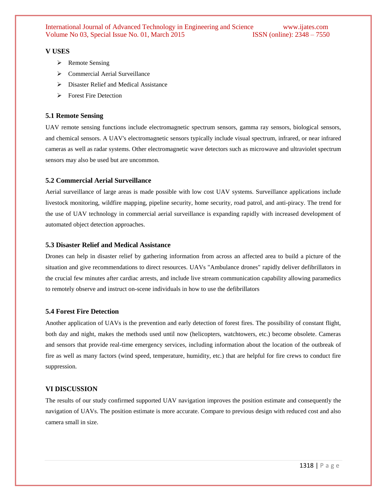#### **V USES**

- > Remote Sensing
- ▶ Commercial Aerial Surveillance
- $\triangleright$  Disaster Relief and Medical Assistance
- **Exercise** Fire Detection

#### **5.1 Remote Sensing**

UAV remote sensing functions include electromagnetic spectrum sensors, gamma ray sensors, biological sensors, and chemical sensors. A UAV's electromagnetic sensors typically include visual spectrum, infrared, or near infrared cameras as well as radar systems. Other electromagnetic wave detectors such as microwave and ultraviolet spectrum sensors may also be used but are uncommon.

#### **5.2 Commercial Aerial Surveillance**

Aerial surveillance of large areas is made possible with low cost UAV systems. Surveillance applications include livestock monitoring, wildfire mapping, pipeline security, home security, road patrol, and anti-piracy. The trend for the use of UAV technology in commercial aerial surveillance is expanding rapidly with increased development of automated object detection approaches.

# **5.3 Disaster Relief and Medical Assistance**

Drones can help in disaster relief by gathering information from across an affected area to build a picture of the situation and give recommendations to direct resources. UAVs "Ambulance drones" rapidly deliver defibrillators in the crucial few minutes after cardiac arrests, and include live stream communication capability allowing paramedics to remotely observe and instruct on-scene individuals in how to use the defibrillators

#### **5.4 Forest Fire Detection**

Another application of UAVs is the prevention and early detection of forest fires. The possibility of constant flight, both day and night, makes the methods used until now (helicopters, watchtowers, etc.) become obsolete. Cameras and sensors that provide real-time emergency services, including information about the location of the outbreak of fire as well as many factors (wind speed, temperature, humidity, etc.) that are helpful for fire crews to conduct fire suppression.

#### **VI DISCUSSION**

The results of our study confirmed supported UAV navigation improves the position estimate and consequently the navigation of UAVs. The position estimate is more accurate. Compare to previous design with reduced cost and also camera small in size.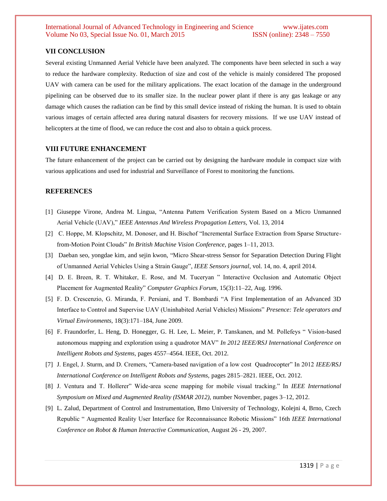#### **VII CONCLUSION**

Several existing Unmanned Aerial Vehicle have been analyzed. The components have been selected in such a way to reduce the hardware complexity. Reduction of size and cost of the vehicle is mainly considered The proposed UAV with camera can be used for the military applications. The exact location of the damage in the underground pipelining can be observed due to its smaller size. In the nuclear power plant if there is any gas leakage or any damage which causes the radiation can be find by this small device instead of risking the human. It is used to obtain various images of certain affected area during natural disasters for recovery missions. If we use UAV instead of helicopters at the time of flood, we can reduce the cost and also to obtain a quick process.

#### **VIII FUTURE ENHANCEMENT**

The future enhancement of the project can be carried out by designing the hardware module in compact size with various applications and used for industrial and Surveillance of Forest to monitoring the functions.

#### **REFERENCES**

- [1] Giuseppe Virone, Andrea M. Lingua, "Antenna Pattern Verification System Based on a Micro Unmanned Aerial Vehicle (UAV)," *IEEE Antennas And Wireless Propagation Letters,* Vol. 13, 2014
- [2] C. Hoppe, M. Klopschitz, M. Donoser, and H. Bischof "Incremental Surface Extraction from Sparse Structurefrom-Motion Point Clouds" *In British Machine Vision Conference,* pages 1–11, 2013.
- [3] Daeban seo, yongdae kim, and sejin kwon, "Micro Shear-stress Sensor for Separation Detection During Flight of Unmanned Aerial Vehicles Using a Strain Gauge", *IEEE Sensors journal*, vol. 14, no. 4, april 2014.
- [4] D. E. Breen, R. T. Whitaker, E. Rose, and M. Tuceryan " Interactive Occlusion and Automatic Object Placement for Augmented Reality" *Computer Graphics Forum,* 15(3):11–22, Aug. 1996.
- [5] F. D. Crescenzio, G. Miranda, F. Persiani, and T. Bombardi "A First Implementation of an Advanced 3D Interface to Control and Supervise UAV (Uninhabited Aerial Vehicles) Missions" *Presence: Tele operators and Virtual Environments,* 18(3):171–184, June 2009.
- [6] F. Fraundorfer, L. Heng, D. Honegger, G. H. Lee, L. Meier, P. Tanskanen, and M. Pollefeys " Vision-based autonomous mapping and exploration using a quadrotor MAV" *In 2012 IEEE/RSJ International Conference on Intelligent Robots and Systems,* pages 4557–4564. IEEE, Oct. 2012.
- [7] J. Engel, J. Sturm, and D. Cremers, "Camera-based navigation of a low cost Quadrocopter" In 2012 *IEEE/RSJ International Conference on Intelligent Robots and Systems,* pages 2815–2821. IEEE, Oct. 2012.
- [8] J. Ventura and T. Hollerer" Wide-area scene mapping for mobile visual tracking." In *IEEE International Symposium on Mixed and Augmented Reality (ISMAR 2012),* number November, pages 3–12, 2012.
- [9] L. Zalud, Department of Control and Instrumentation, Bmo University of Technology, Kolejni 4, Brno, Czech Republic " Augmented Reality User Interface for Reconnaissance Robotic Missions" 16th *IEEE International Conference on Robot & Human Interactive Communication,* August 26 - 29, 2007.